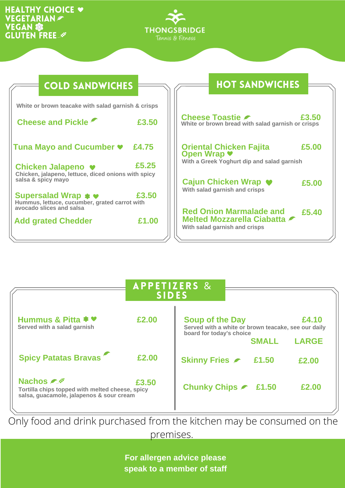## HEALTHY CHOICE  $\blacktriangleright$ **VEGETARIAN** Gluten Free **VEGAN**



| <b>COLD SANDWICHES</b>                                                                   |                                                       |
|------------------------------------------------------------------------------------------|-------------------------------------------------------|
| White or brown teacake with salad garnish & crisps                                       |                                                       |
| <b>Cheese and Pickle</b><br>£3.50                                                        | <b>Cheese</b><br>White or br                          |
| Tuna Mayo and Cucumber ♥ £4.75                                                           | <b>Oriental</b><br><b>Open W</b>                      |
| £5.25<br>Chicken Jalapeno ♥<br>Chicken, jalapeno, lettuce, diced onions with spicy       | With a Gree                                           |
| salsa & spicy mayo                                                                       | <b>Cajun C</b><br><b>With salad</b>                   |
| £3.50<br>Supersalad Wrap $\ast \bullet$<br>Hummus, lettuce, cucumber, grated carrot with |                                                       |
| avocado slices and salsa<br>£1.00<br><b>Add grated Chedder</b>                           | <b>Red On</b><br><b>Melted I</b><br><b>With salad</b> |

## **HOT SANDWICHES**

| Cheese Toastie <i>►</i><br>White or brown bread with salad garnish or crisps                  | £3,50 |
|-----------------------------------------------------------------------------------------------|-------|
| <b>Oriental Chicken Fajita</b><br>Open Wrap ♥<br>With a Greek Yoghurt dip and salad garnish   | £5.00 |
| Cajun Chicken Wrap ♥<br>With salad garnish and crisps                                         | £5.00 |
| <b>Red Onion Marmalade and</b><br>Melted Mozzarella Ciabatta<br>With salad garnish and crisps | £5.40 |
|                                                                                               |       |

|                                                                                                                 | <b>APPETIZERS &amp;</b><br><b>SIDES</b> |                                                                                                           |              |
|-----------------------------------------------------------------------------------------------------------------|-----------------------------------------|-----------------------------------------------------------------------------------------------------------|--------------|
| Hummus & Pitta $\ast \bullet$<br>Served with a salad garnish                                                    | £2.00                                   | <b>Soup of the Day</b><br>Served with a white or brown teacake, see our daily<br>board for today's choice | £4.10        |
|                                                                                                                 |                                         | <b>SMALL</b>                                                                                              | <b>LARGE</b> |
| <b>Spicy Patatas Bravas</b>                                                                                     | £2.00                                   | Skinny Fries 2 £1.50                                                                                      | £2.00        |
| <b>Nachos</b> ∠*<br>Tortilla chips topped with melted cheese, spicy<br>salsa, guacamole, jalapenos & sour cream | £3.50                                   | Chunky Chips C £1.50                                                                                      | £2.00        |

Only food and drink purchased from the kitchen may be consumed on the premises.

> **For allergen advice please speak to a member of staff**